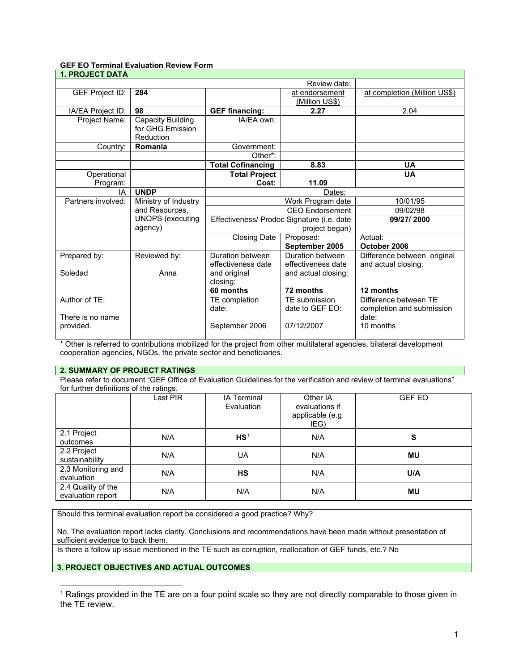# **GEF EO Terminal Evaluation Review Form**

| 1. PROJECT DATA        |                          |                                                              |                        |                              |
|------------------------|--------------------------|--------------------------------------------------------------|------------------------|------------------------------|
|                        |                          |                                                              | Review date:           |                              |
| <b>GEF Project ID:</b> | 284                      |                                                              | at endorsement         | at completion (Million US\$) |
|                        |                          |                                                              | <u>(Million US\$)</u>  |                              |
| IA/EA Project ID:      | 98                       | <b>GEF financing:</b>                                        | 2.27                   | 2.04                         |
| Project Name:          | <b>Capacity Building</b> | IA/EA own:                                                   |                        |                              |
|                        | for GHG Emission         |                                                              |                        |                              |
|                        | Reduction                |                                                              |                        |                              |
| Country:               | Romania                  | Government:                                                  |                        |                              |
|                        |                          | Other*:                                                      |                        |                              |
|                        |                          | <b>Total Cofinancing</b>                                     | 8.83                   | <b>UA</b>                    |
| Operational            |                          | <b>Total Project</b>                                         |                        | <b>UA</b>                    |
| Program:               |                          | Cost:                                                        | 11.09                  |                              |
| IA                     | <b>UNDP</b>              |                                                              | Dates:                 |                              |
| Partners involved:     | Ministry of Industry     |                                                              | Work Program date      | 10/01/95                     |
|                        | and Resources,           |                                                              | <b>CEO</b> Endorsement | 09/02/98                     |
|                        | <b>UNOPS</b> (executing  | Effectiveness/ Prodoc Signature (i.e. date<br>project began) |                        | 09/27/2000                   |
|                        | agency)                  |                                                              |                        |                              |
|                        |                          | <b>Closing Date</b>                                          | Proposed:              | Actual:                      |
|                        |                          |                                                              | September 2005         | October 2006                 |
| Prepared by:           | Reviewed by:             | Duration between                                             | Duration between       | Difference between original  |
|                        |                          | effectiveness date                                           | effectiveness date     | and actual closing:          |
| Soledad                | Anna                     | and original                                                 | and actual closing:    |                              |
|                        |                          | closing:                                                     |                        |                              |
|                        |                          | 60 months                                                    | 72 months              | 12 months                    |
| Author of TE:          |                          | <b>TE</b> completion                                         | TE submission          | Difference between TE        |
|                        |                          | date:                                                        | date to GEF EO:        | completion and submission    |
| There is no name       |                          |                                                              |                        | date:                        |
| provided.              |                          | September 2006                                               | 07/12/2007             | 10 months                    |
|                        |                          |                                                              |                        |                              |

\* Other is referred to contributions mobilized for the project from other multilateral agencies, bilateral development cooperation agencies, NGOs, the private sector and beneficiaries.

## **2. SUMMARY OF PROJECT RATINGS**

Please refer to document "GEF Office of Evaluation Guidelines for the verification and review of terminal evaluations" for further definitions of the ratings.

|                                         | ີ<br>Last PIR | <b>IA Terminal</b><br>Evaluation | Other IA<br>evaluations if<br>applicable (e.g.<br>IEG) | <b>GEF EO</b> |
|-----------------------------------------|---------------|----------------------------------|--------------------------------------------------------|---------------|
| 2.1 Project<br>outcomes                 | N/A           | HS <sup>1</sup>                  | N/A                                                    | S             |
| 2.2 Project<br>sustainability           | N/A           | UA                               | N/A                                                    | MU            |
| 2.3 Monitoring and<br>evaluation        | N/A           | <b>HS</b>                        | N/A                                                    | U/A           |
| 2.4 Quality of the<br>evaluation report | N/A           | N/A                              | N/A                                                    | MU            |

Should this terminal evaluation report be considered a good practice? Why?

No. The evaluation report lacks clarity. Conclusions and recommendations have been made without presentation of sufficient evidence to back them.

Is there a follow up issue mentioned in the TE such as corruption, reallocation of GEF funds, etc.? No

## **3. PROJECT OBJECTIVES AND ACTUAL OUTCOMES**

-

<span id="page-0-0"></span> $1$  Ratings provided in the TE are on a four point scale so they are not directly comparable to those given in the TE review.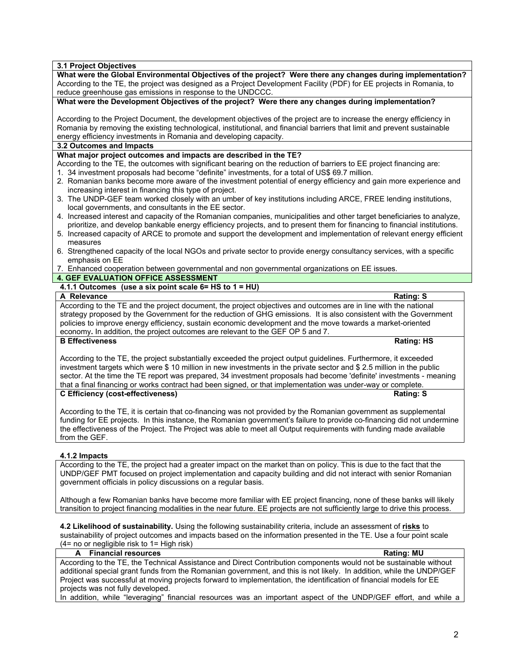**3.1 Project Objectives**

| What were the Global Environmental Objectives of the project? Were there any changes during implementation?                                                                                                                                |
|--------------------------------------------------------------------------------------------------------------------------------------------------------------------------------------------------------------------------------------------|
| According to the TE, the project was designed as a Project Development Facility (PDF) for EE projects in Romania, to                                                                                                                       |
| reduce greenhouse gas emissions in response to the UNDCCC.                                                                                                                                                                                 |
| What were the Development Objectives of the project? Were there any changes during implementation?                                                                                                                                         |
|                                                                                                                                                                                                                                            |
| According to the Project Document, the development objectives of the project are to increase the energy efficiency in                                                                                                                      |
| Romania by removing the existing technological, institutional, and financial barriers that limit and prevent sustainable                                                                                                                   |
| energy efficiency investments in Romania and developing capacity.                                                                                                                                                                          |
| 3.2 Outcomes and Impacts                                                                                                                                                                                                                   |
| What major project outcomes and impacts are described in the TE?                                                                                                                                                                           |
| According to the TE, the outcomes with significant bearing on the reduction of barriers to EE project financing are:                                                                                                                       |
| 1. 34 investment proposals had become "definite" investments, for a total of US\$ 69.7 million.                                                                                                                                            |
| 2. Romanian banks become more aware of the investment potential of energy efficiency and gain more experience and                                                                                                                          |
| increasing interest in financing this type of project.                                                                                                                                                                                     |
| 3. The UNDP-GEF team worked closely with an umber of key institutions including ARCE, FREE lending institutions,                                                                                                                           |
| local governments, and consultants in the EE sector.                                                                                                                                                                                       |
| 4. Increased interest and capacity of the Romanian companies, municipalities and other target beneficiaries to analyze,                                                                                                                    |
| prioritize, and develop bankable energy efficiency projects, and to present them for financing to financial institutions.                                                                                                                  |
| 5. Increased capacity of ARCE to promote and support the development and implementation of relevant energy efficient                                                                                                                       |
| measures                                                                                                                                                                                                                                   |
| 6. Strengthened capacity of the local NGOs and private sector to provide energy consultancy services, with a specific                                                                                                                      |
| emphasis on EE                                                                                                                                                                                                                             |
| 7. Enhanced cooperation between governmental and non governmental organizations on EE issues.                                                                                                                                              |
| <b>4. GEF EVALUATION OFFICE ASSESSMENT</b>                                                                                                                                                                                                 |
| 4.1.1 Outcomes (use a six point scale $6=$ HS to $1 = HU$ )                                                                                                                                                                                |
| A Relevance<br><b>Rating: S</b>                                                                                                                                                                                                            |
| According to the TE and the project document, the project objectives and outcomes are in line with the national                                                                                                                            |
| strategy proposed by the Government for the reduction of GHG emissions. It is also consistent with the Government                                                                                                                          |
| policies to improve energy efficiency, sustain economic development and the move towards a market-oriented                                                                                                                                 |
| economy. In addition, the project outcomes are relevant to the GEF OP 5 and 7.                                                                                                                                                             |
| <b>B Effectiveness</b><br><b>Rating: HS</b>                                                                                                                                                                                                |
|                                                                                                                                                                                                                                            |
|                                                                                                                                                                                                                                            |
| According to the TE, the project substantially exceeded the project output guidelines. Furthermore, it exceeded                                                                                                                            |
| investment targets which were \$10 million in new investments in the private sector and \$2.5 million in the public<br>sector. At the time the TE report was prepared, 34 investment proposals had become 'definite' investments - meaning |

#### that a final financing or works contract had been signed, or that implementation was under-way or complete.<br>C Efficiency (cost-effectiveness) **C Efficiency (cost-effectiveness)**

According to the TE, it is certain that co-financing was not provided by the Romanian government as supplemental funding for EE projects. In this instance, the Romanian government's failure to provide co-financing did not undermine the effectiveness of the Project. The Project was able to meet all Output requirements with funding made available from the GEF.

### **4.1.2 Impacts**

According to the TE, the project had a greater impact on the market than on policy. This is due to the fact that the UNDP/GEF PMT focused on project implementation and capacity building and did not interact with senior Romanian government officials in policy discussions on a regular basis.

Although a few Romanian banks have become more familiar with EE project financing, none of these banks will likely transition to project financing modalities in the near future. EE projects are not sufficiently large to drive this process.

**4.2 Likelihood of sustainability.** Using the following sustainability criteria, include an assessment of **risks** to sustainability of project outcomes and impacts based on the information presented in the TE. Use a four point scale (4= no or negligible risk to 1= High risk)

| A Financial resources                                                                                                | <b>Rating: MU</b> |
|----------------------------------------------------------------------------------------------------------------------|-------------------|
| According to the TE, the Technical Assistance and Direct Contribution components would not be sustainable without    |                   |
| additional special grant funds from the Romanian government, and this is not likely. In addition, while the UNDP/GEF |                   |
| Project was successful at moving projects forward to implementation, the identification of financial models for EE   |                   |
| projects was not fully developed.                                                                                    |                   |
| to collective control Mossough all distributions of the computation of the INIDDIACE official and collective         |                   |

In addition, while "leveraging" financial resources was an important aspect of the UNDP/GEF effort, and while a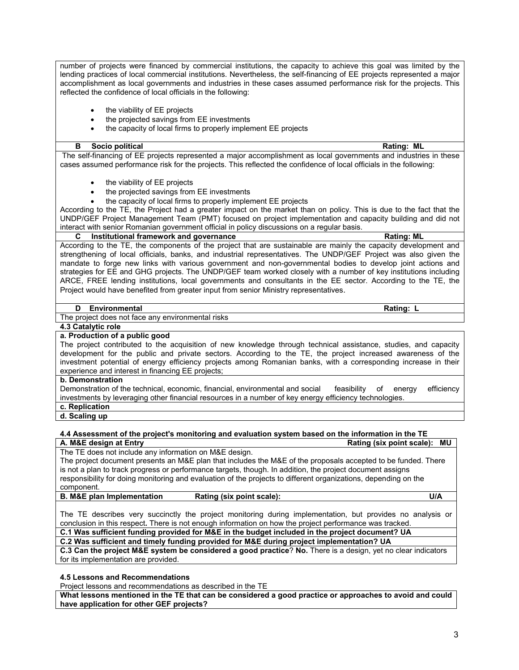number of projects were financed by commercial institutions, the capacity to achieve this goal was limited by the lending practices of local commercial institutions. Nevertheless, the self-financing of EE projects represented a major accomplishment as local governments and industries in these cases assumed performance risk for the projects. This reflected the confidence of local officials in the following:

- the viability of EE projects
- the projected savings from EE investments
- the capacity of local firms to properly implement EE projects

#### **B** Socio political **Rational Rational Rational Rational Rational Rational Rational Rational Rational Rational Rational Rational Rational Rational Rational Rational Rational Rational Rational Rational Rational Rational Rat**

The self-financing of EE projects represented a major accomplishment as local governments and industries in these cases assumed performance risk for the projects. This reflected the confidence of local officials in the following:

- the viability of EE projects
- the projected savings from EE investments
- the capacity of local firms to properly implement EE projects

According to the TE, the Project had a greater impact on the market than on policy. This is due to the fact that the UNDP/GEF Project Management Team (PMT) focused on project implementation and capacity building and did not interact with senior Romanian government official in policy discussions on a regular basis.

**CONSIDER INSTITUTION IN A TEXT AND RATION IN A TEXT AND RATING! CONSIDER INCREDIT INC. RATING: ML** 

According to the TE, the components of the project that are sustainable are mainly the capacity development and strengthening of local officials, banks, and industrial representatives. The UNDP/GEF Project was also given the mandate to forge new links with various government and non-governmental bodies to develop joint actions and strategies for EE and GHG projects. The UNDP/GEF team worked closely with a number of key institutions including ARCE, FREE lending institutions, local governments and consultants in the EE sector. According to the TE, the Project would have benefited from greater input from senior Ministry representatives.

# **D** Environmental Rating: L

The project does not face any environmental risks

#### **4.3 Catalytic role a. Production of a public good**

The project contributed to the acquisition of new knowledge through technical assistance, studies, and capacity development for the public and private sectors. According to the TE, the project increased awareness of the investment potential of energy efficiency projects among Romanian banks, with a corresponding increase in their experience and interest in financing EE projects;

#### **b. Demonstration**

Demonstration of the technical, economic, financial, environmental and social feasibility of energy efficiency investments by leveraging other financial resources in a number of key energy efficiency technologies.

**c. Replication**

# **d. Scaling up**

#### **4.4 Assessment of the project's monitoring and evaluation system based on the information in the TE Rating (six point scale): MU**

The TE does not include any information on M&E design.

The project document presents an M&E plan that includes the M&E of the proposals accepted to be funded. There is not a plan to track progress or performance targets, though. In addition, the project document assigns responsibility for doing monitoring and evaluation of the projects to different organizations, depending on the component.

**B. M&E plan Implementation Rating (six point scale): U/A**

The TE describes very succinctly the project monitoring during implementation, but provides no analysis or conclusion in this respect**.** There is not enough information on how the project performance was tracked.

**C.1 Was sufficient funding provided for M&E in the budget included in the project document? UA**

**C.2 Was sufficient and timely funding provided for M&E during project implementation? UA**

**C.3 Can the project M&E system be considered a good practice**? **No.** There is a design, yet no clear indicators for its implementation are provided.

**4.5 Lessons and Recommendations** 

Project lessons and recommendations as described in the TE

**What lessons mentioned in the TE that can be considered a good practice or approaches to avoid and could have application for other GEF projects?**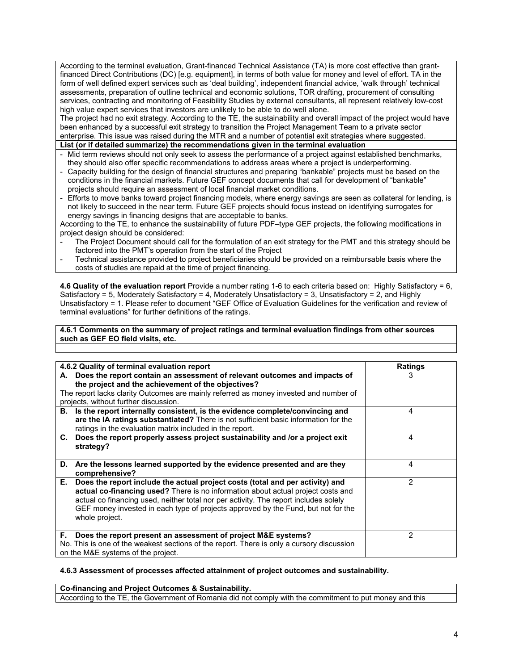According to the terminal evaluation, Grant-financed Technical Assistance (TA) is more cost effective than grantfinanced Direct Contributions (DC) [e.g. equipment], in terms of both value for money and level of effort. TA in the form of well defined expert services such as 'deal building', independent financial advice, 'walk through' technical assessments, preparation of outline technical and economic solutions, TOR drafting, procurement of consulting services, contracting and monitoring of Feasibility Studies by external consultants, all represent relatively low-cost high value expert services that investors are unlikely to be able to do well alone.

The project had no exit strategy. According to the TE, the sustainability and overall impact of the project would have been enhanced by a successful exit strategy to transition the Project Management Team to a private sector enterprise. This issue was raised during the MTR and a number of potential exit strategies where suggested.

**List (or if detailed summarize) the recommendations given in the terminal evaluation** 

- Mid term reviews should not only seek to assess the performance of a project against established benchmarks, they should also offer specific recommendations to address areas where a project is underperforming.
- Capacity building for the design of financial structures and preparing "bankable" projects must be based on the conditions in the financial markets. Future GEF concept documents that call for development of "bankable" projects should require an assessment of local financial market conditions.
- Efforts to move banks toward project financing models, where energy savings are seen as collateral for lending, is not likely to succeed in the near term. Future GEF projects should focus instead on identifying surrogates for energy savings in financing designs that are acceptable to banks.

According to the TE, to enhance the sustainability of future PDF–type GEF projects, the following modifications in project design should be considered:

- The Project Document should call for the formulation of an exit strategy for the PMT and this strategy should be factored into the PMT's operation from the start of the Project
- Technical assistance provided to project beneficiaries should be provided on a reimbursable basis where the costs of studies are repaid at the time of project financing.

**4.6 Quality of the evaluation report** Provide a number rating 1-6 to each criteria based on: Highly Satisfactory = 6, Satisfactory = 5, Moderately Satisfactory = 4, Moderately Unsatisfactory = 3, Unsatisfactory = 2, and Highly Unsatisfactory = 1. Please refer to document "GEF Office of Evaluation Guidelines for the verification and review of terminal evaluations" for further definitions of the ratings.

**4.6.1 Comments on the summary of project ratings and terminal evaluation findings from other sources such as GEF EO field visits, etc.**

| 4.6.2 Quality of terminal evaluation report                                                                                                                                                                                                                                                                                                                            | <b>Ratings</b> |
|------------------------------------------------------------------------------------------------------------------------------------------------------------------------------------------------------------------------------------------------------------------------------------------------------------------------------------------------------------------------|----------------|
| A. Does the report contain an assessment of relevant outcomes and impacts of<br>the project and the achievement of the objectives?<br>The report lacks clarity Outcomes are mainly referred as money invested and number of<br>projects, without further discussion.                                                                                                   | 3              |
| B. Is the report internally consistent, is the evidence complete/convincing and<br>are the IA ratings substantiated? There is not sufficient basic information for the<br>ratings in the evaluation matrix included in the report.                                                                                                                                     | 4              |
| C. Does the report properly assess project sustainability and /or a project exit<br>strategy?                                                                                                                                                                                                                                                                          | 4              |
| D. Are the lessons learned supported by the evidence presented and are they<br>comprehensive?                                                                                                                                                                                                                                                                          | 4              |
| Does the report include the actual project costs (total and per activity) and<br>Е.<br>actual co-financing used? There is no information about actual project costs and<br>actual co financing used, neither total nor per activity. The report includes solely<br>GEF money invested in each type of projects approved by the Fund, but not for the<br>whole project. | 2              |
| Does the report present an assessment of project M&E systems?<br>F.<br>No. This is one of the weakest sections of the report. There is only a cursory discussion<br>on the M&E systems of the project.                                                                                                                                                                 | 2              |

### **4.6.3 Assessment of processes affected attainment of project outcomes and sustainability.**

**Co-financing and Project Outcomes & Sustainability.** According to the TE, the Government of Romania did not comply with the commitment to put money and this